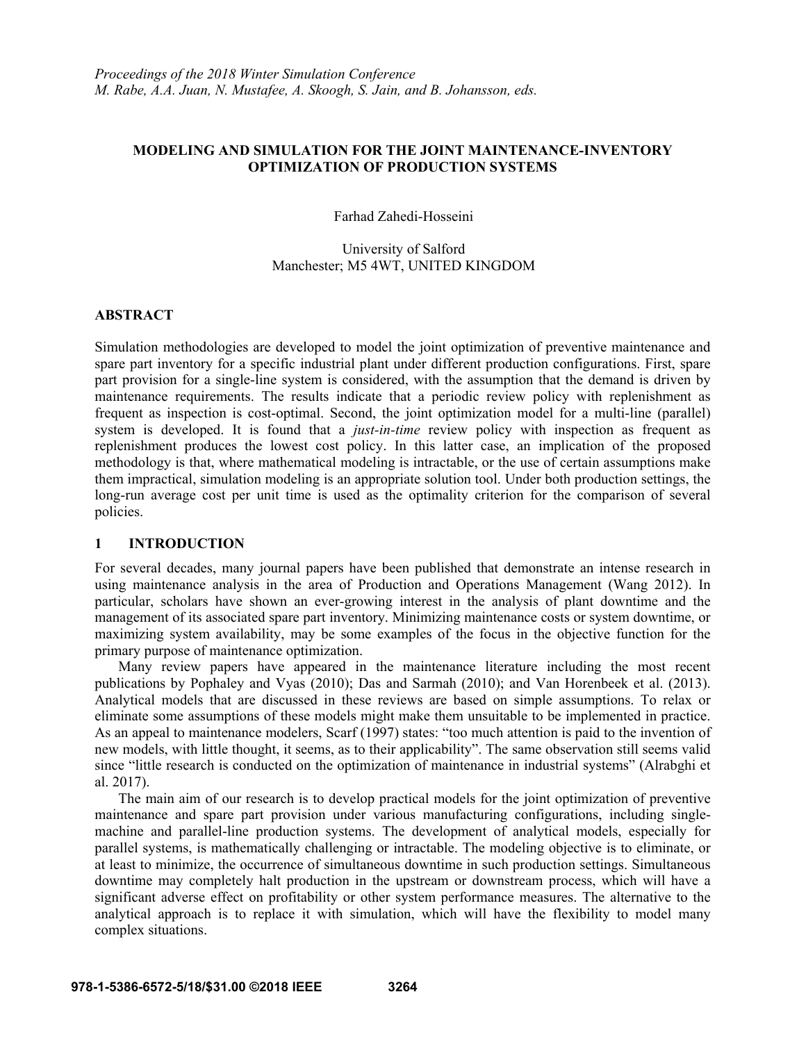# **MODELING AND SIMULATION FOR THE JOINT MAINTENANCE-INVENTORY OPTIMIZATION OF PRODUCTION SYSTEMS**

Farhad Zahedi-Hosseini

University of Salford Manchester; M5 4WT, UNITED KINGDOM

# **ABSTRACT**

Simulation methodologies are developed to model the joint optimization of preventive maintenance and spare part inventory for a specific industrial plant under different production configurations. First, spare part provision for a single-line system is considered, with the assumption that the demand is driven by maintenance requirements. The results indicate that a periodic review policy with replenishment as frequent as inspection is cost-optimal. Second, the joint optimization model for a multi-line (parallel) system is developed. It is found that a *just-in-time* review policy with inspection as frequent as replenishment produces the lowest cost policy. In this latter case, an implication of the proposed methodology is that, where mathematical modeling is intractable, or the use of certain assumptions make them impractical, simulation modeling is an appropriate solution tool. Under both production settings, the long-run average cost per unit time is used as the optimality criterion for the comparison of several policies.

# **1 INTRODUCTION**

For several decades, many journal papers have been published that demonstrate an intense research in using maintenance analysis in the area of Production and Operations Management (Wang 2012). In particular, scholars have shown an ever-growing interest in the analysis of plant downtime and the management of its associated spare part inventory. Minimizing maintenance costs or system downtime, or maximizing system availability, may be some examples of the focus in the objective function for the primary purpose of maintenance optimization.

Many review papers have appeared in the maintenance literature including the most recent publications by Pophaley and Vyas (2010); Das and Sarmah (2010); and Van Horenbeek et al. (2013). Analytical models that are discussed in these reviews are based on simple assumptions. To relax or eliminate some assumptions of these models might make them unsuitable to be implemented in practice. As an appeal to maintenance modelers, Scarf (1997) states: "too much attention is paid to the invention of new models, with little thought, it seems, as to their applicability". The same observation still seems valid since "little research is conducted on the optimization of maintenance in industrial systems" (Alrabghi et al. 2017).

The main aim of our research is to develop practical models for the joint optimization of preventive maintenance and spare part provision under various manufacturing configurations, including singlemachine and parallel-line production systems. The development of analytical models, especially for parallel systems, is mathematically challenging or intractable. The modeling objective is to eliminate, or at least to minimize, the occurrence of simultaneous downtime in such production settings. Simultaneous downtime may completely halt production in the upstream or downstream process, which will have a significant adverse effect on profitability or other system performance measures. The alternative to the analytical approach is to replace it with simulation, which will have the flexibility to model many complex situations.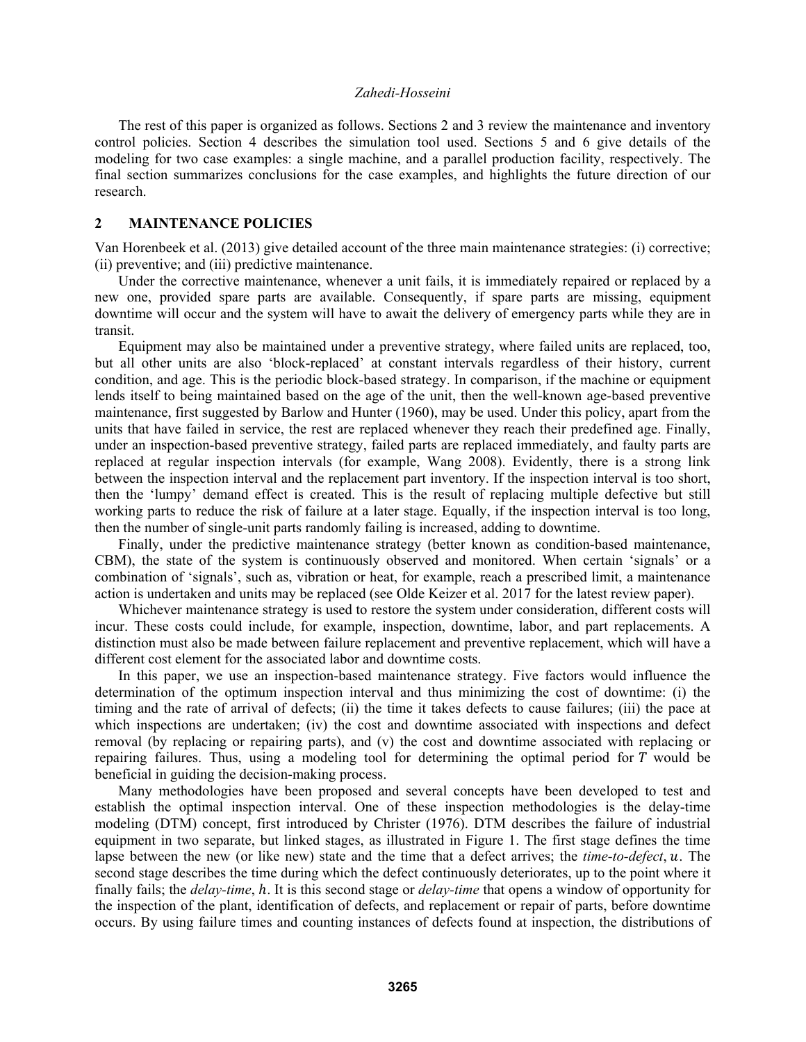The rest of this paper is organized as follows. Sections 2 and 3 review the maintenance and inventory control policies. Section 4 describes the simulation tool used. Sections 5 and 6 give details of the modeling for two case examples: a single machine, and a parallel production facility, respectively. The final section summarizes conclusions for the case examples, and highlights the future direction of our research.

# **2 MAINTENANCE POLICIES**

Van Horenbeek et al. (2013) give detailed account of the three main maintenance strategies: (i) corrective; (ii) preventive; and (iii) predictive maintenance.

Under the corrective maintenance, whenever a unit fails, it is immediately repaired or replaced by a new one, provided spare parts are available. Consequently, if spare parts are missing, equipment downtime will occur and the system will have to await the delivery of emergency parts while they are in transit.

Equipment may also be maintained under a preventive strategy, where failed units are replaced, too, but all other units are also 'block-replaced' at constant intervals regardless of their history, current condition, and age. This is the periodic block-based strategy. In comparison, if the machine or equipment lends itself to being maintained based on the age of the unit, then the well-known age-based preventive maintenance, first suggested by Barlow and Hunter (1960), may be used. Under this policy, apart from the units that have failed in service, the rest are replaced whenever they reach their predefined age. Finally, under an inspection-based preventive strategy, failed parts are replaced immediately, and faulty parts are replaced at regular inspection intervals (for example, Wang 2008). Evidently, there is a strong link between the inspection interval and the replacement part inventory. If the inspection interval is too short, then the 'lumpy' demand effect is created. This is the result of replacing multiple defective but still working parts to reduce the risk of failure at a later stage. Equally, if the inspection interval is too long, then the number of single-unit parts randomly failing is increased, adding to downtime.

Finally, under the predictive maintenance strategy (better known as condition-based maintenance, CBM), the state of the system is continuously observed and monitored. When certain 'signals' or a combination of 'signals', such as, vibration or heat, for example, reach a prescribed limit, a maintenance action is undertaken and units may be replaced (see Olde Keizer et al. 2017 for the latest review paper).

Whichever maintenance strategy is used to restore the system under consideration, different costs will incur. These costs could include, for example, inspection, downtime, labor, and part replacements. A distinction must also be made between failure replacement and preventive replacement, which will have a different cost element for the associated labor and downtime costs.

In this paper, we use an inspection-based maintenance strategy. Five factors would influence the determination of the optimum inspection interval and thus minimizing the cost of downtime: (i) the timing and the rate of arrival of defects; (ii) the time it takes defects to cause failures; (iii) the pace at which inspections are undertaken; (iv) the cost and downtime associated with inspections and defect removal (by replacing or repairing parts), and (v) the cost and downtime associated with replacing or repairing failures. Thus, using a modeling tool for determining the optimal period for  $T$  would be beneficial in guiding the decision-making process.

Many methodologies have been proposed and several concepts have been developed to test and establish the optimal inspection interval. One of these inspection methodologies is the delay-time modeling (DTM) concept, first introduced by Christer (1976). DTM describes the failure of industrial equipment in two separate, but linked stages, as illustrated in Figure 1. The first stage defines the time lapse between the new (or like new) state and the time that a defect arrives; the *time-to-defect*, u. The second stage describes the time during which the defect continuously deteriorates, up to the point where it finally fails; the *delay-time*, *h*. It is this second stage or *delay-time* that opens a window of opportunity for the inspection of the plant, identification of defects, and replacement or repair of parts, before downtime occurs. By using failure times and counting instances of defects found at inspection, the distributions of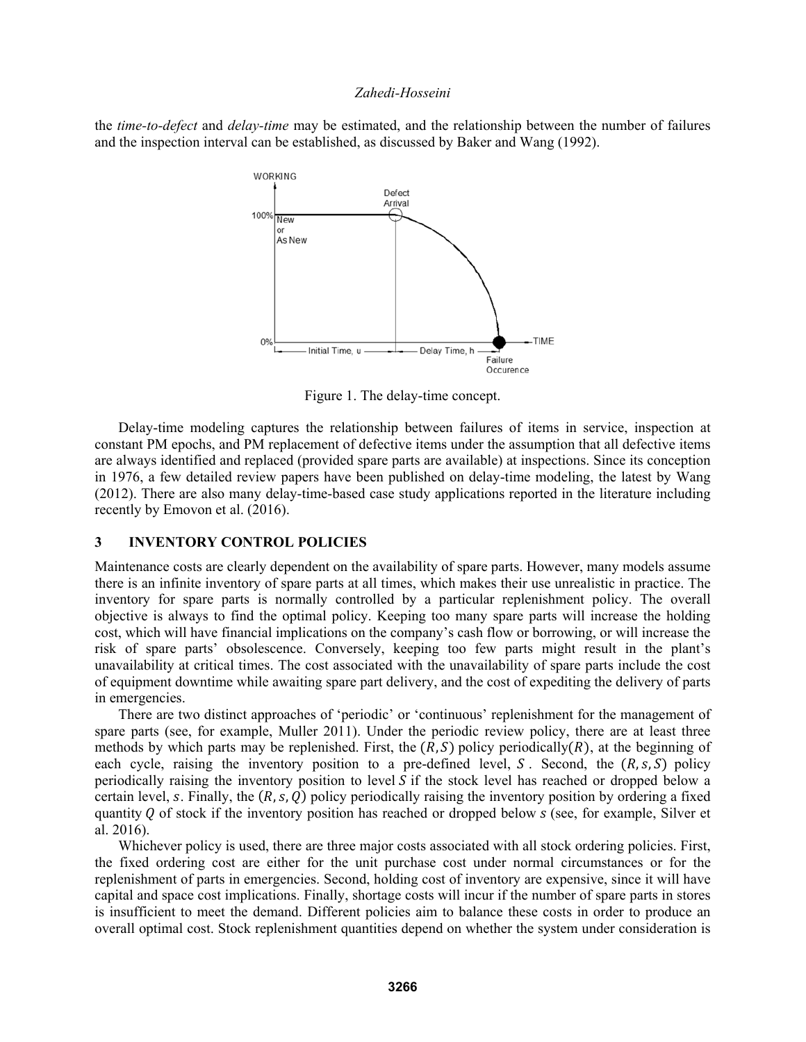the *time-to-defect* and *delay-time* may be estimated, and the relationship between the number of failures and the inspection interval can be established, as discussed by Baker and Wang (1992).



Figure 1. The delay-time concept.

Delay-time modeling captures the relationship between failures of items in service, inspection at constant PM epochs, and PM replacement of defective items under the assumption that all defective items are always identified and replaced (provided spare parts are available) at inspections. Since its conception in 1976, a few detailed review papers have been published on delay-time modeling, the latest by Wang (2012). There are also many delay-time-based case study applications reported in the literature including recently by Emovon et al. (2016).

# **3 INVENTORY CONTROL POLICIES**

Maintenance costs are clearly dependent on the availability of spare parts. However, many models assume there is an infinite inventory of spare parts at all times, which makes their use unrealistic in practice. The inventory for spare parts is normally controlled by a particular replenishment policy. The overall objective is always to find the optimal policy. Keeping too many spare parts will increase the holding cost, which will have financial implications on the company's cash flow or borrowing, or will increase the risk of spare parts' obsolescence. Conversely, keeping too few parts might result in the plant's unavailability at critical times. The cost associated with the unavailability of spare parts include the cost of equipment downtime while awaiting spare part delivery, and the cost of expediting the delivery of parts in emergencies.

There are two distinct approaches of 'periodic' or 'continuous' replenishment for the management of spare parts (see, for example, Muller 2011). Under the periodic review policy, there are at least three methods by which parts may be replenished. First, the  $(R, S)$  policy periodically $(R)$ , at the beginning of each cycle, raising the inventory position to a pre-defined level, S. Second, the  $(R, s, S)$  policy periodically raising the inventory position to level  $S$  if the stock level has reached or dropped below a certain level, s. Finally, the  $(R, s, Q)$  policy periodically raising the inventory position by ordering a fixed quantity  $Q$  of stock if the inventory position has reached or dropped below  $S$  (see, for example, Silver et al. 2016).

Whichever policy is used, there are three major costs associated with all stock ordering policies. First, the fixed ordering cost are either for the unit purchase cost under normal circumstances or for the replenishment of parts in emergencies. Second, holding cost of inventory are expensive, since it will have capital and space cost implications. Finally, shortage costs will incur if the number of spare parts in stores is insufficient to meet the demand. Different policies aim to balance these costs in order to produce an overall optimal cost. Stock replenishment quantities depend on whether the system under consideration is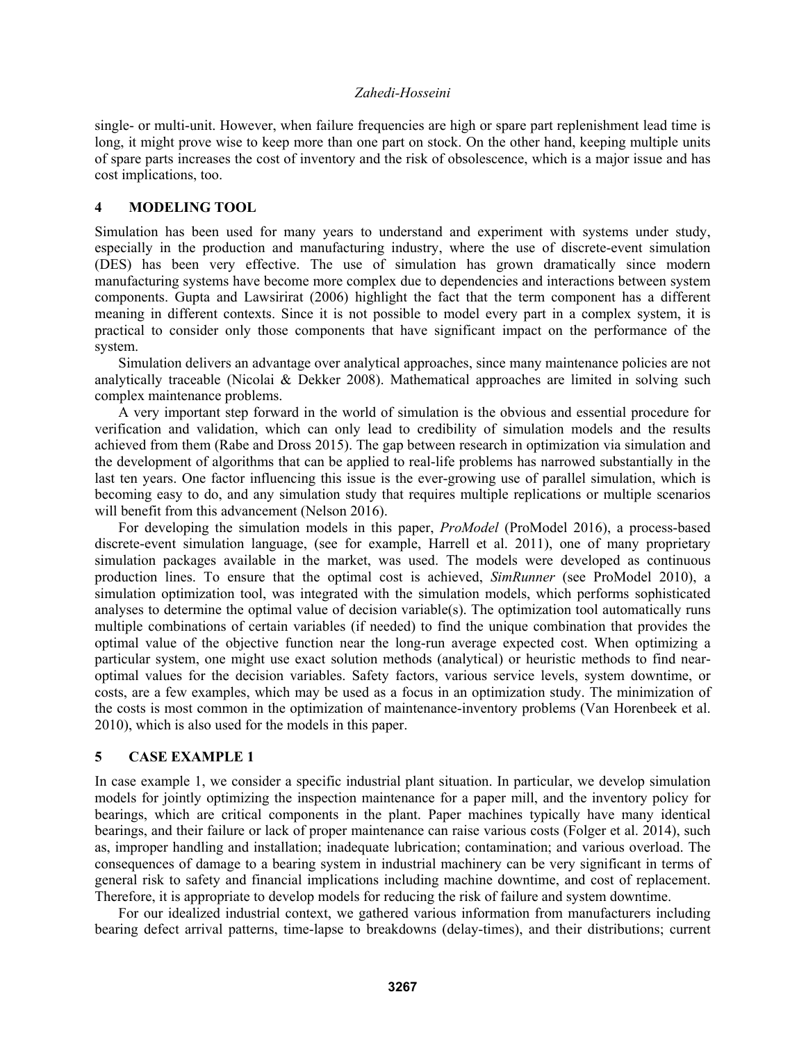single- or multi-unit. However, when failure frequencies are high or spare part replenishment lead time is long, it might prove wise to keep more than one part on stock. On the other hand, keeping multiple units of spare parts increases the cost of inventory and the risk of obsolescence, which is a major issue and has cost implications, too.

# **4 MODELING TOOL**

Simulation has been used for many years to understand and experiment with systems under study, especially in the production and manufacturing industry, where the use of discrete-event simulation (DES) has been very effective. The use of simulation has grown dramatically since modern manufacturing systems have become more complex due to dependencies and interactions between system components. Gupta and Lawsirirat (2006) highlight the fact that the term component has a different meaning in different contexts. Since it is not possible to model every part in a complex system, it is practical to consider only those components that have significant impact on the performance of the system.

Simulation delivers an advantage over analytical approaches, since many maintenance policies are not analytically traceable (Nicolai & Dekker 2008). Mathematical approaches are limited in solving such complex maintenance problems.

A very important step forward in the world of simulation is the obvious and essential procedure for verification and validation, which can only lead to credibility of simulation models and the results achieved from them (Rabe and Dross 2015). The gap between research in optimization via simulation and the development of algorithms that can be applied to real-life problems has narrowed substantially in the last ten years. One factor influencing this issue is the ever-growing use of parallel simulation, which is becoming easy to do, and any simulation study that requires multiple replications or multiple scenarios will benefit from this advancement (Nelson 2016).

For developing the simulation models in this paper, *ProModel* (ProModel 2016), a process-based discrete-event simulation language, (see for example, Harrell et al. 2011), one of many proprietary simulation packages available in the market, was used. The models were developed as continuous production lines. To ensure that the optimal cost is achieved, *SimRunner* (see ProModel 2010), a simulation optimization tool, was integrated with the simulation models, which performs sophisticated analyses to determine the optimal value of decision variable(s). The optimization tool automatically runs multiple combinations of certain variables (if needed) to find the unique combination that provides the optimal value of the objective function near the long-run average expected cost. When optimizing a particular system, one might use exact solution methods (analytical) or heuristic methods to find nearoptimal values for the decision variables. Safety factors, various service levels, system downtime, or costs, are a few examples, which may be used as a focus in an optimization study. The minimization of the costs is most common in the optimization of maintenance-inventory problems (Van Horenbeek et al. 2010), which is also used for the models in this paper.

# **5 CASE EXAMPLE 1**

In case example 1, we consider a specific industrial plant situation. In particular, we develop simulation models for jointly optimizing the inspection maintenance for a paper mill, and the inventory policy for bearings, which are critical components in the plant. Paper machines typically have many identical bearings, and their failure or lack of proper maintenance can raise various costs (Folger et al. 2014), such as, improper handling and installation; inadequate lubrication; contamination; and various overload. The consequences of damage to a bearing system in industrial machinery can be very significant in terms of general risk to safety and financial implications including machine downtime, and cost of replacement. Therefore, it is appropriate to develop models for reducing the risk of failure and system downtime.

For our idealized industrial context, we gathered various information from manufacturers including bearing defect arrival patterns, time-lapse to breakdowns (delay-times), and their distributions; current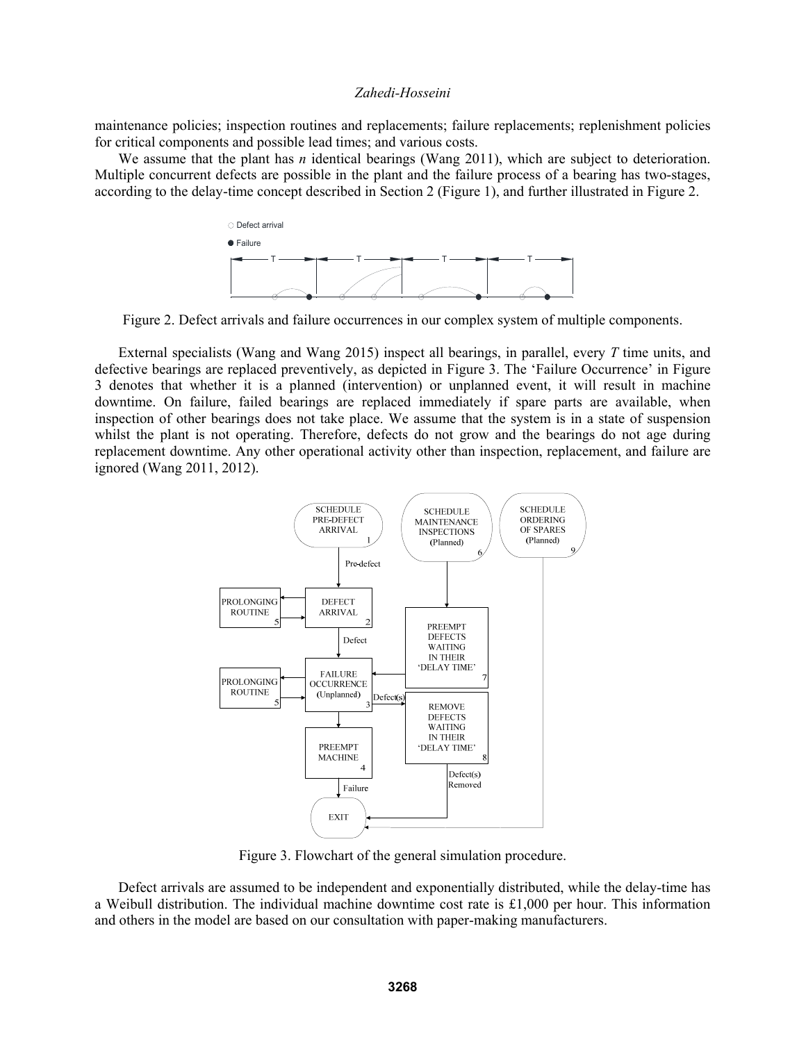maintenance policies; inspection routines and replacements; failure replacements; replenishment policies for critical components and possible lead times; and various costs.

We assume that the plant has *n* identical bearings (Wang 2011), which are subject to deterioration. Multiple concurrent defects are possible in the plant and the failure process of a bearing has two-stages, according to the delay-time concept described in Section 2 (Figure 1), and further illustrated in Figure 2.



Figure 2. Defect arrivals and failure occurrences in our complex system of multiple components.

External specialists (Wang and Wang 2015) inspect all bearings, in parallel, every *T* time units, and defective bearings are replaced preventively, as depicted in Figure 3. The 'Failure Occurrence' in Figure 3 denotes that whether it is a planned (intervention) or unplanned event, it will result in machine downtime. On failure, failed bearings are replaced immediately if spare parts are available, when inspection of other bearings does not take place. We assume that the system is in a state of suspension whilst the plant is not operating. Therefore, defects do not grow and the bearings do not age during replacement downtime. Any other operational activity other than inspection, replacement, and failure are ignored (Wang 2011, 2012).



Figure 3. Flowchart of the general simulation procedure.

Defect arrivals are assumed to be independent and exponentially distributed, while the delay-time has a Weibull distribution. The individual machine downtime cost rate is £1,000 per hour. This information and others in the model are based on our consultation with paper-making manufacturers.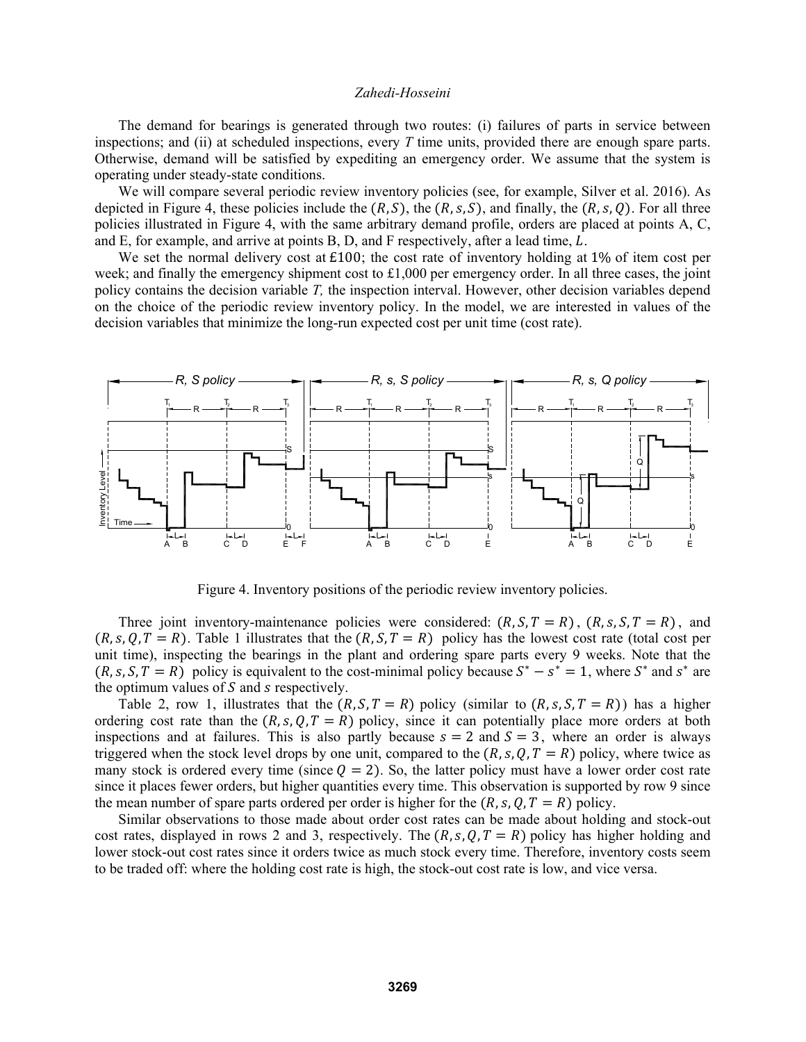The demand for bearings is generated through two routes: (i) failures of parts in service between inspections; and (ii) at scheduled inspections, every *T* time units, provided there are enough spare parts. Otherwise, demand will be satisfied by expediting an emergency order. We assume that the system is operating under steady-state conditions.

We will compare several periodic review inventory policies (see, for example, Silver et al. 2016). As depicted in Figure 4, these policies include the  $(R, S)$ , the  $(R, s, S)$ , and finally, the  $(R, s, Q)$ . For all three policies illustrated in Figure 4, with the same arbitrary demand profile, orders are placed at points A, C, and E, for example, and arrive at points B, D, and F respectively, after a lead time,  $L$ .

We set the normal delivery cost at £100; the cost rate of inventory holding at 1% of item cost per week; and finally the emergency shipment cost to  $\pounds1,000$  per emergency order. In all three cases, the joint policy contains the decision variable *T,* the inspection interval. However, other decision variables depend on the choice of the periodic review inventory policy. In the model, we are interested in values of the decision variables that minimize the long-run expected cost per unit time (cost rate).



Figure 4. Inventory positions of the periodic review inventory policies.

Three joint inventory-maintenance policies were considered:  $(R, S, T = R)$ ,  $(R, s, S, T = R)$ , and  $(R, s, Q, T = R)$ . Table 1 illustrates that the  $(R, S, T = R)$  policy has the lowest cost rate (total cost per unit time), inspecting the bearings in the plant and ordering spare parts every 9 weeks. Note that the  $(R, s, S, T = R)$  policy is equivalent to the cost-minimal policy because  $S^* - s^* = 1$ , where  $S^*$  and  $s^*$  are the optimum values of  $S$  and  $s$  respectively.

Table 2, row 1, illustrates that the  $(R, S, T = R)$  policy (similar to  $(R, s, S, T = R)$ ) has a higher ordering cost rate than the  $(R, s, Q, T = R)$  policy, since it can potentially place more orders at both inspections and at failures. This is also partly because  $s = 2$  and  $S = 3$ , where an order is always triggered when the stock level drops by one unit, compared to the  $(R, s, Q, T = R)$  policy, where twice as many stock is ordered every time (since  $Q = 2$ ). So, the latter policy must have a lower order cost rate since it places fewer orders, but higher quantities every time. This observation is supported by row 9 since the mean number of spare parts ordered per order is higher for the  $(R, s, Q, T = R)$  policy.

Similar observations to those made about order cost rates can be made about holding and stock-out cost rates, displayed in rows 2 and 3, respectively. The  $(R, s, Q, T = R)$  policy has higher holding and lower stock-out cost rates since it orders twice as much stock every time. Therefore, inventory costs seem to be traded off: where the holding cost rate is high, the stock-out cost rate is low, and vice versa.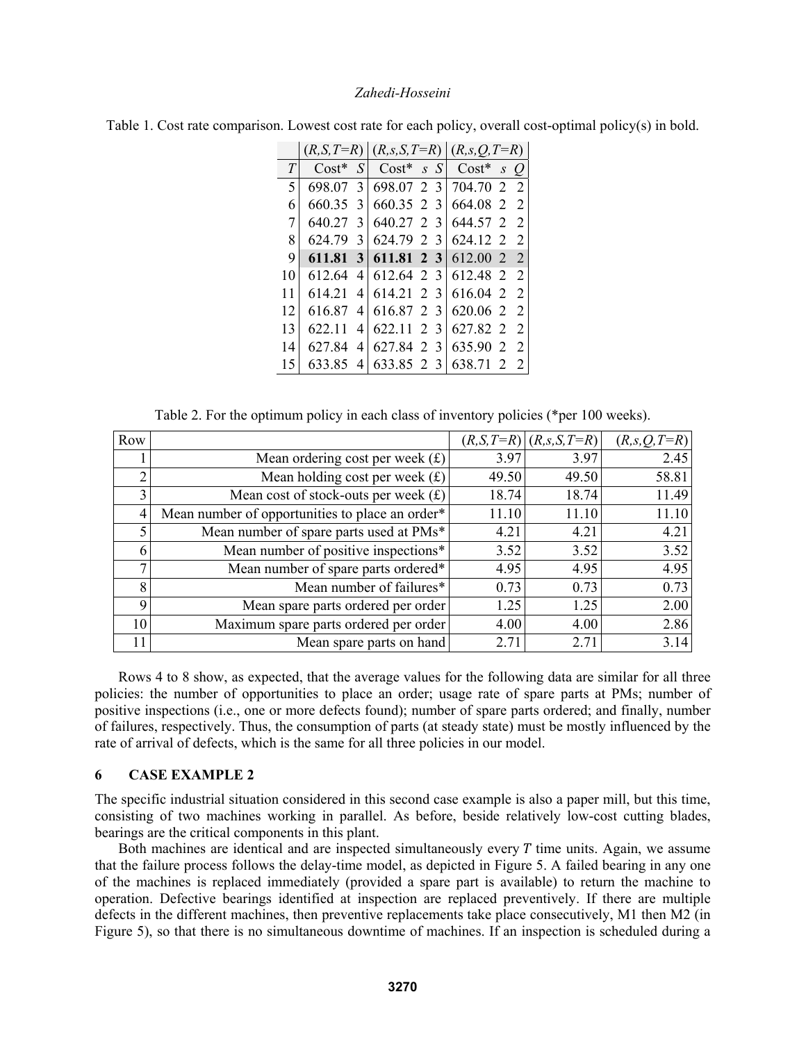|    |         |                | $(R, S, T=R)$ $(R, s, S, T=R)$ $(R, s, Q, T=R)$ |   |               |          |   |                |
|----|---------|----------------|-------------------------------------------------|---|---------------|----------|---|----------------|
| T  | $Cost*$ | S              | $Cost*$                                         |   | S S           | $Cost*$  | S | O              |
| 5  | 698.07  | 3              | 698.07 2 3                                      |   |               | 704.70 2 |   | $\mathcal{L}$  |
| 6  | 660.35  | $\mathcal{E}$  | 660.35 2 3                                      |   |               | 664.08 2 |   | $\mathcal{L}$  |
| 7  | 640.27  | $\mathcal{F}$  | 640.27 2 3                                      |   |               | 644.57 2 |   | $\mathcal{L}$  |
| 8  | 624.79  | $\mathcal{Z}$  | 624.79 2 3                                      |   |               | 624.12 2 |   | $\overline{2}$ |
| 9  | 611.81  | 3 <sup>1</sup> | 611.81 2 3                                      |   |               | 612.00 2 |   | -2             |
| 10 | 612.64  | 4              | 612.64 2 3                                      |   |               | 612.48 2 |   | 2              |
| 11 | 614.21  | 4              | 614.21 2 3                                      |   |               | 616.04 2 |   | $\mathcal{L}$  |
| 12 | 616.87  | 4              | 616.87 2 3                                      |   |               | 620.06 2 |   | $\mathcal{L}$  |
| 13 | 622.11  | 4              | 622.11 2 3                                      |   |               | 627.82 2 |   | $\mathcal{L}$  |
| 14 | 627.84  | 4              | 627.84                                          | 2 | $\mathcal{R}$ | 635.90 2 |   | $\mathcal{L}$  |
| 15 | 633.85  | 4              | 633.85 2                                        |   | 3             | 638.71   | 2 | $\overline{2}$ |

Table 1. Cost rate comparison. Lowest cost rate for each policy, overall cost-optimal policy(s) in bold.

Table 2. For the optimum policy in each class of inventory policies (\*per 100 weeks).

| Row            |                                                 | $(R, S, T=R)$ | $(R, s, S, T=R)$ | $(R, s, Q, T=R)$ |
|----------------|-------------------------------------------------|---------------|------------------|------------------|
|                | Mean ordering cost per week $(f)$               | 3.97          | 3.97             | 2.45             |
|                | Mean holding cost per week $(f)$                | 49.50         | 49.50            | 58.81            |
|                | Mean cost of stock-outs per week $(f)$          | 18.74         | 18.74            | 11.49            |
| 4'             | Mean number of opportunities to place an order* | 11.10         | 11.10            | 11.10            |
|                | Mean number of spare parts used at PMs*         | 4.21          | 4.21             | 4.21             |
| 6              | Mean number of positive inspections*            | 3.52          | 3.52             | 3.52             |
|                | Mean number of spare parts ordered*             | 4.95          | 4.95             | 4.95             |
| 8 <sup>1</sup> | Mean number of failures*                        | 0.73          | 0.73             | 0.73             |
| 9              | Mean spare parts ordered per order              | 1.25          | 1.25             | 2.00             |
| 10             | Maximum spare parts ordered per order           | 4.00          | 4.00             | 2.86             |
|                | Mean spare parts on hand                        | 2.71          | 2.71             | 3.14             |

Rows 4 to 8 show, as expected, that the average values for the following data are similar for all three policies: the number of opportunities to place an order; usage rate of spare parts at PMs; number of positive inspections (i.e., one or more defects found); number of spare parts ordered; and finally, number of failures, respectively. Thus, the consumption of parts (at steady state) must be mostly influenced by the rate of arrival of defects, which is the same for all three policies in our model.

# **6 CASE EXAMPLE 2**

The specific industrial situation considered in this second case example is also a paper mill, but this time, consisting of two machines working in parallel. As before, beside relatively low-cost cutting blades, bearings are the critical components in this plant.

Both machines are identical and are inspected simultaneously every  $T$  time units. Again, we assume that the failure process follows the delay-time model, as depicted in Figure 5. A failed bearing in any one of the machines is replaced immediately (provided a spare part is available) to return the machine to operation. Defective bearings identified at inspection are replaced preventively. If there are multiple defects in the different machines, then preventive replacements take place consecutively, M1 then M2 (in Figure 5), so that there is no simultaneous downtime of machines. If an inspection is scheduled during a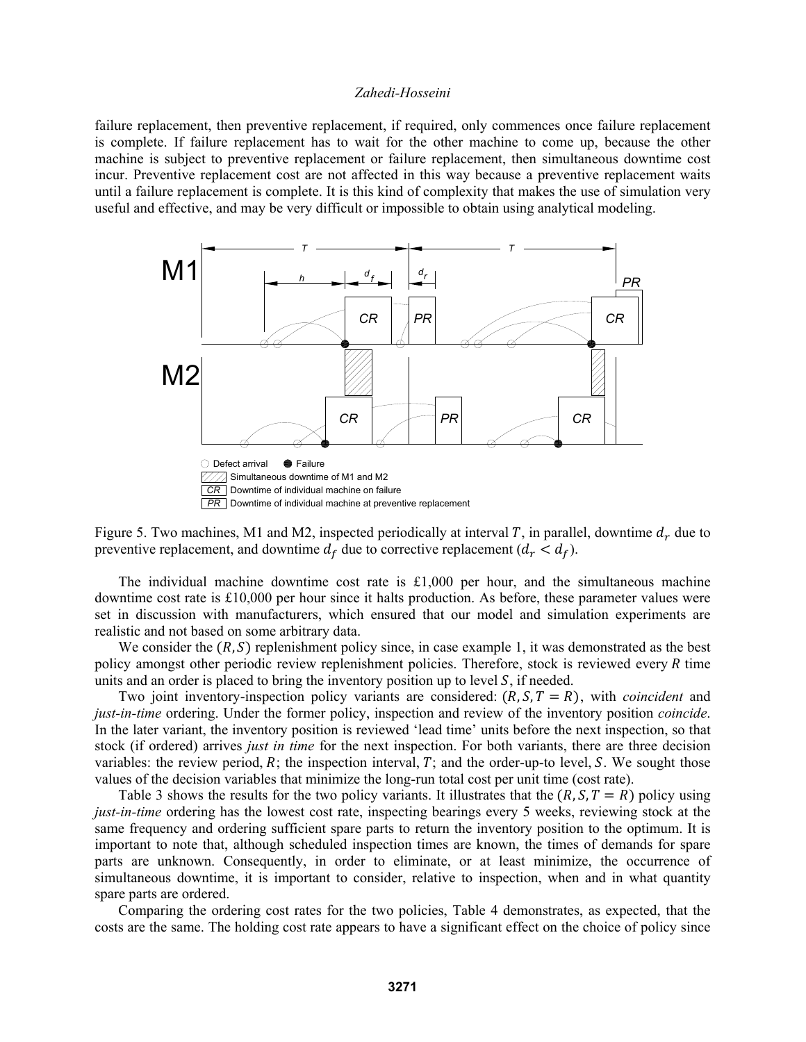failure replacement, then preventive replacement, if required, only commences once failure replacement is complete. If failure replacement has to wait for the other machine to come up, because the other machine is subject to preventive replacement or failure replacement, then simultaneous downtime cost incur. Preventive replacement cost are not affected in this way because a preventive replacement waits until a failure replacement is complete. It is this kind of complexity that makes the use of simulation very useful and effective, and may be very difficult or impossible to obtain using analytical modeling.



Figure 5. Two machines, M1 and M2, inspected periodically at interval T, in parallel, downtime  $d_r$  due to preventive replacement, and downtime  $d_f$  due to corrective replacement  $(d_r < d_f)$ .

The individual machine downtime cost rate is  $\text{\pounds}1,000$  per hour, and the simultaneous machine downtime cost rate is £10,000 per hour since it halts production. As before, these parameter values were set in discussion with manufacturers, which ensured that our model and simulation experiments are realistic and not based on some arbitrary data.

We consider the  $(R, S)$  replenishment policy since, in case example 1, it was demonstrated as the best policy amongst other periodic review replenishment policies. Therefore, stock is reviewed every  $R$  time units and an order is placed to bring the inventory position up to level  $S$ , if needed.

Two joint inventory-inspection policy variants are considered:  $(R, S, T = R)$ , with *coincident* and *just-in-time* ordering. Under the former policy, inspection and review of the inventory position *coincide*. In the later variant, the inventory position is reviewed 'lead time' units before the next inspection, so that stock (if ordered) arrives *just in time* for the next inspection. For both variants, there are three decision variables: the review period,  $R$ ; the inspection interval,  $T$ ; and the order-up-to level,  $S$ . We sought those values of the decision variables that minimize the long-run total cost per unit time (cost rate).

Table 3 shows the results for the two policy variants. It illustrates that the  $(R, S, T = R)$  policy using *just-in-time* ordering has the lowest cost rate, inspecting bearings every 5 weeks, reviewing stock at the same frequency and ordering sufficient spare parts to return the inventory position to the optimum. It is important to note that, although scheduled inspection times are known, the times of demands for spare parts are unknown. Consequently, in order to eliminate, or at least minimize, the occurrence of simultaneous downtime, it is important to consider, relative to inspection, when and in what quantity spare parts are ordered.

Comparing the ordering cost rates for the two policies, Table 4 demonstrates, as expected, that the costs are the same. The holding cost rate appears to have a significant effect on the choice of policy since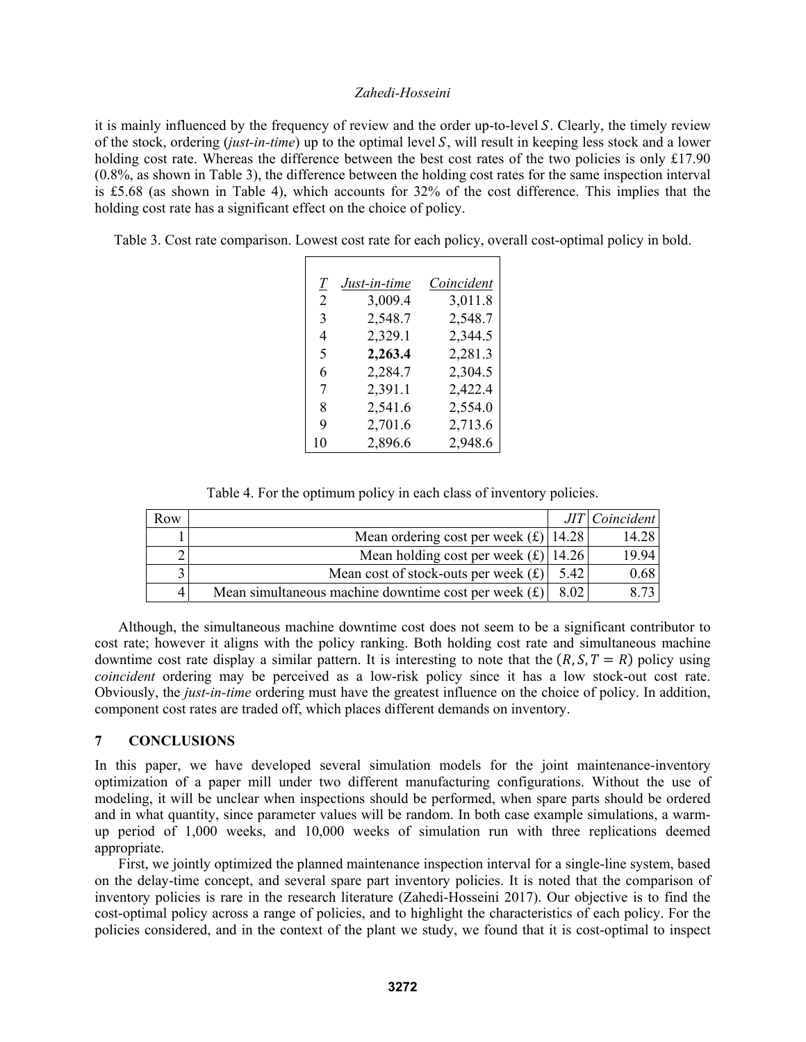it is mainly influenced by the frequency of review and the order up-to-level S. Clearly, the timely review of the stock, ordering *(just-in-time)* up to the optimal level S, will result in keeping less stock and a lower holding cost rate. Whereas the difference between the best cost rates of the two policies is only £17.90 (0.8%, as shown in Table 3), the difference between the holding cost rates for the same inspection interval is £5.68 (as shown in Table 4), which accounts for 32% of the cost difference. This implies that the holding cost rate has a significant effect on the choice of policy.

Table 3. Cost rate comparison. Lowest cost rate for each policy, overall cost-optimal policy in bold.

| $\mathcal{I}$ | Just-in-time | Coincident |
|---------------|--------------|------------|
| 2             | 3,009.4      | 3,011.8    |
| 3             | 2,548.7      | 2,548.7    |
| 4             | 2,329.1      | 2,344.5    |
| 5             | 2,263.4      | 2,281.3    |
| 6             | 2,284.7      | 2,304.5    |
| 7             | 2,391.1      | 2,422.4    |
| 8             | 2,541.6      | 2,554.0    |
| 9             | 2,701.6      | 2,713.6    |
| 10            | 2,896.6      | 2,948.6    |

Table 4. For the optimum policy in each class of inventory policies.

| Row |                                                        |                   | JIT Coincident |
|-----|--------------------------------------------------------|-------------------|----------------|
|     | Mean ordering cost per week $(E)$ 14.28                |                   | 14.28          |
|     | Mean holding cost per week $(f)$ 14.26                 |                   | 19.94          |
|     | Mean cost of stock-outs per week $(f)$                 | 5.42              | 0.68           |
|     | Mean simultaneous machine downtime cost per week $(f)$ | 8.02 <sub>1</sub> |                |

Although, the simultaneous machine downtime cost does not seem to be a significant contributor to cost rate; however it aligns with the policy ranking. Both holding cost rate and simultaneous machine downtime cost rate display a similar pattern. It is interesting to note that the  $(R, S, T = R)$  policy using *coincident* ordering may be perceived as a low-risk policy since it has a low stock-out cost rate. Obviously, the *just-in-time* ordering must have the greatest influence on the choice of policy. In addition, component cost rates are traded off, which places different demands on inventory.

## **7 CONCLUSIONS**

In this paper, we have developed several simulation models for the joint maintenance-inventory optimization of a paper mill under two different manufacturing configurations. Without the use of modeling, it will be unclear when inspections should be performed, when spare parts should be ordered and in what quantity, since parameter values will be random. In both case example simulations, a warmup period of 1,000 weeks, and 10,000 weeks of simulation run with three replications deemed appropriate.

First, we jointly optimized the planned maintenance inspection interval for a single-line system, based on the delay-time concept, and several spare part inventory policies. It is noted that the comparison of inventory policies is rare in the research literature (Zahedi-Hosseini 2017). Our objective is to find the cost-optimal policy across a range of policies, and to highlight the characteristics of each policy. For the policies considered, and in the context of the plant we study, we found that it is cost-optimal to inspect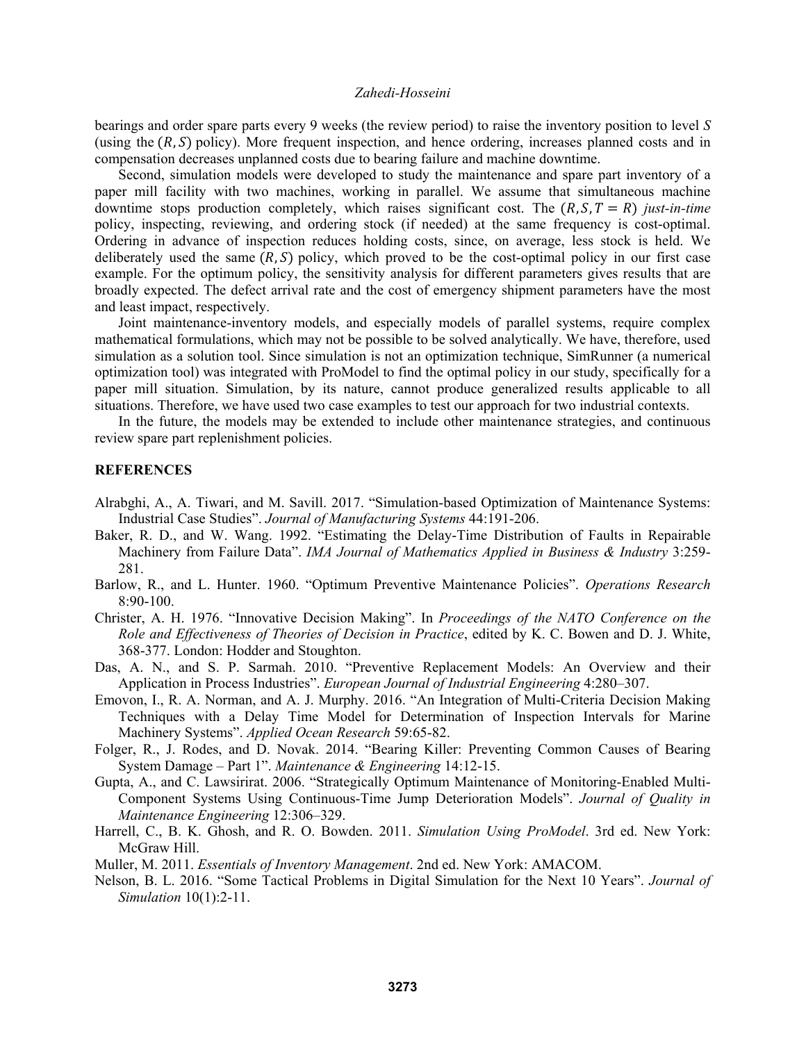bearings and order spare parts every 9 weeks (the review period) to raise the inventory position to level *S* (using the  $(R, S)$  policy). More frequent inspection, and hence ordering, increases planned costs and in compensation decreases unplanned costs due to bearing failure and machine downtime.

Second, simulation models were developed to study the maintenance and spare part inventory of a paper mill facility with two machines, working in parallel. We assume that simultaneous machine downtime stops production completely, which raises significant cost. The  $(R, S, T = R)$  *just-in-time* policy, inspecting, reviewing, and ordering stock (if needed) at the same frequency is cost-optimal. Ordering in advance of inspection reduces holding costs, since, on average, less stock is held. We deliberately used the same  $(R, S)$  policy, which proved to be the cost-optimal policy in our first case example. For the optimum policy, the sensitivity analysis for different parameters gives results that are broadly expected. The defect arrival rate and the cost of emergency shipment parameters have the most and least impact, respectively.

Joint maintenance-inventory models, and especially models of parallel systems, require complex mathematical formulations, which may not be possible to be solved analytically. We have, therefore, used simulation as a solution tool. Since simulation is not an optimization technique, SimRunner (a numerical optimization tool) was integrated with ProModel to find the optimal policy in our study, specifically for a paper mill situation. Simulation, by its nature, cannot produce generalized results applicable to all situations. Therefore, we have used two case examples to test our approach for two industrial contexts.

In the future, the models may be extended to include other maintenance strategies, and continuous review spare part replenishment policies.

# **REFERENCES**

- Alrabghi, A., A. Tiwari, and M. Savill. 2017. "Simulation-based Optimization of Maintenance Systems: Industrial Case Studies". *Journal of Manufacturing Systems* 44:191-206.
- Baker, R. D., and W. Wang. 1992. "Estimating the Delay-Time Distribution of Faults in Repairable Machinery from Failure Data". *IMA Journal of Mathematics Applied in Business & Industry* 3:259- 281.
- Barlow, R., and L. Hunter. 1960. "Optimum Preventive Maintenance Policies". *Operations Research* 8:90-100.
- Christer, A. H. 1976. "Innovative Decision Making". In *Proceedings of the NATO Conference on the Role and Effectiveness of Theories of Decision in Practice*, edited by K. C. Bowen and D. J. White, 368-377. London: Hodder and Stoughton.
- Das, A. N., and S. P. Sarmah. 2010. "Preventive Replacement Models: An Overview and their Application in Process Industries". *European Journal of Industrial Engineering* 4:280–307.
- Emovon, I., R. A. Norman, and A. J. Murphy. 2016. "An Integration of Multi-Criteria Decision Making Techniques with a Delay Time Model for Determination of Inspection Intervals for Marine Machinery Systems". *Applied Ocean Research* 59:65-82.
- Folger, R., J. Rodes, and D. Novak. 2014. "Bearing Killer: Preventing Common Causes of Bearing System Damage – Part 1". *Maintenance & Engineering* 14:12-15.
- Gupta, A., and C. Lawsirirat. 2006. "Strategically Optimum Maintenance of Monitoring-Enabled Multi-Component Systems Using Continuous-Time Jump Deterioration Models". *Journal of Quality in Maintenance Engineering* 12:306–329.
- Harrell, C., B. K. Ghosh, and R. O. Bowden. 2011. *Simulation Using ProModel*. 3rd ed. New York: McGraw Hill.
- Muller, M. 2011. *Essentials of Inventory Management*. 2nd ed. New York: AMACOM.
- Nelson, B. L. 2016. "Some Tactical Problems in Digital Simulation for the Next 10 Years". *Journal of Simulation* 10(1):2-11.